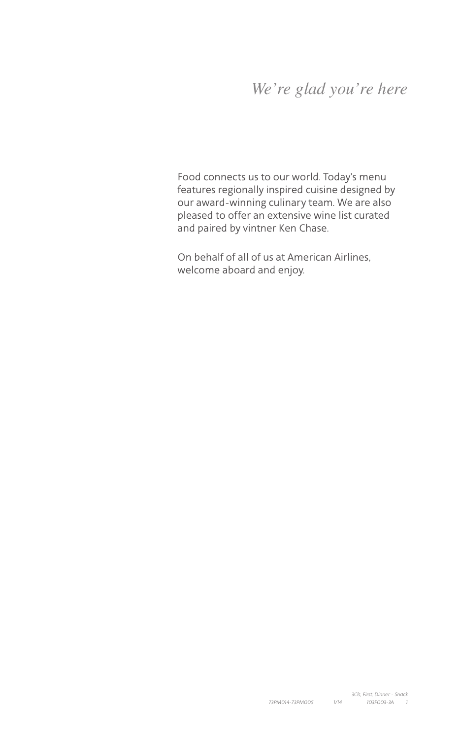# *We're glad you're here*

Food connects us to our world. Today's menu features regionally inspired cuisine designed by our award-winning culinary team. We are also pleased to offer an extensive wine list curated and paired by vintner Ken Chase.

On behalf of all of us at American Airlines, welcome aboard and enjoy.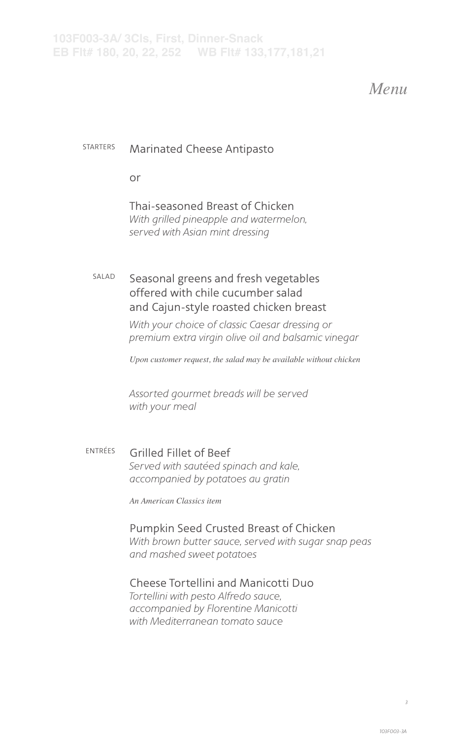# *Menu*

#### STARTERS Marinated Cheese Antipasto

or

#### Thai-seasoned Breast of Chicken *With grilled pineapple and watermelon, served with Asian mint dressing*

### SALAD Seasonal greens and fresh vegetables offered with chile cucumber salad and Cajun-style roasted chicken breast

*With your choice of classic Caesar dressing or premium extra virgin olive oil and balsamic vinegar*

*Upon customer request, the salad may be available without chicken*

*Assorted gourmet breads will be served with your meal*

#### ENTRÉES Grilled Fillet of Beef *Served with sautéed spinach and kale, accompanied by potatoes au gratin*

*An American Classics item*

#### Pumpkin Seed Crusted Breast of Chicken

*With brown butter sauce, served with sugar snap peas and mashed sweet potatoes*

### Cheese Tortellini and Manicotti Duo

*Tortellini with pesto Alfredo sauce, accompanied by Florentine Manicotti with Mediterranean tomato sauce*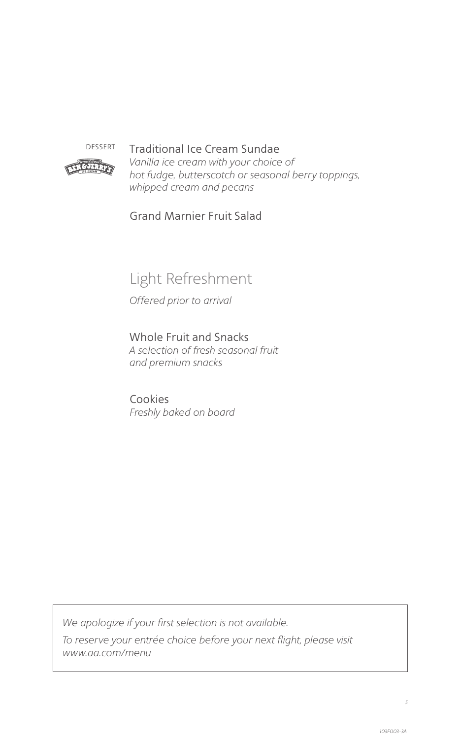

### DESSERT Traditional Ice Cream Sundae

*Vanilla ice cream with your choice of hot fudge, butterscotch or seasonal berry toppings, whipped cream and pecans*

Grand Marnier Fruit Salad

# Light Refreshment

*Offered prior to arrival*

Whole Fruit and Snacks *A selection of fresh seasonal fruit and premium snacks*

Cookies *Freshly baked on board*

*We apologize if your first selection is not available.*

*To reserve your entrée choice before your next flight, please visit www.aa.com/menu*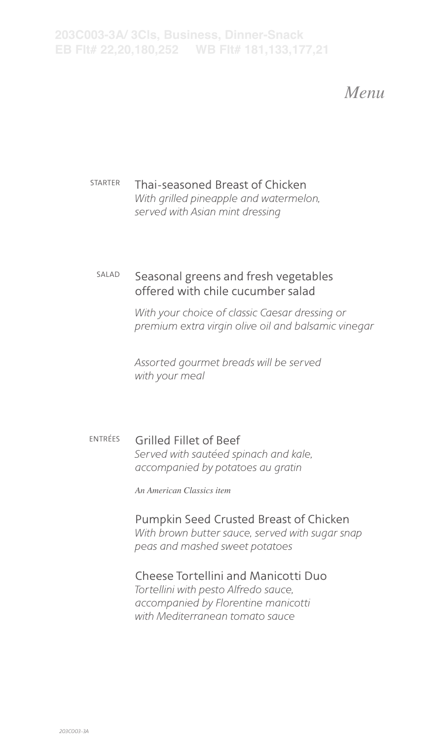**203C003-3A/ 3Cls, Business, Dinner-Snack EB Flt# 22,20,180,252 WB Flt# 181,133,177,21**

*Menu*

STARTER Thai-seasoned Breast of Chicken *With grilled pineapple and watermelon, served with Asian mint dressing*

### SALAD Seasonal greens and fresh vegetables offered with chile cucumber salad

*With your choice of classic Caesar dressing or premium extra virgin olive oil and balsamic vinegar*

*Assorted gourmet breads will be served with your meal*

ENTRÉES Grilled Fillet of Beef *Served with sautéed spinach and kale, accompanied by potatoes au gratin*

*An American Classics item*

## Pumpkin Seed Crusted Breast of Chicken

*With brown butter sauce, served with sugar snap peas and mashed sweet potatoes*

#### Cheese Tortellini and Manicotti Duo

*Tortellini with pesto Alfredo sauce, accompanied by Florentine manicotti with Mediterranean tomato sauce*